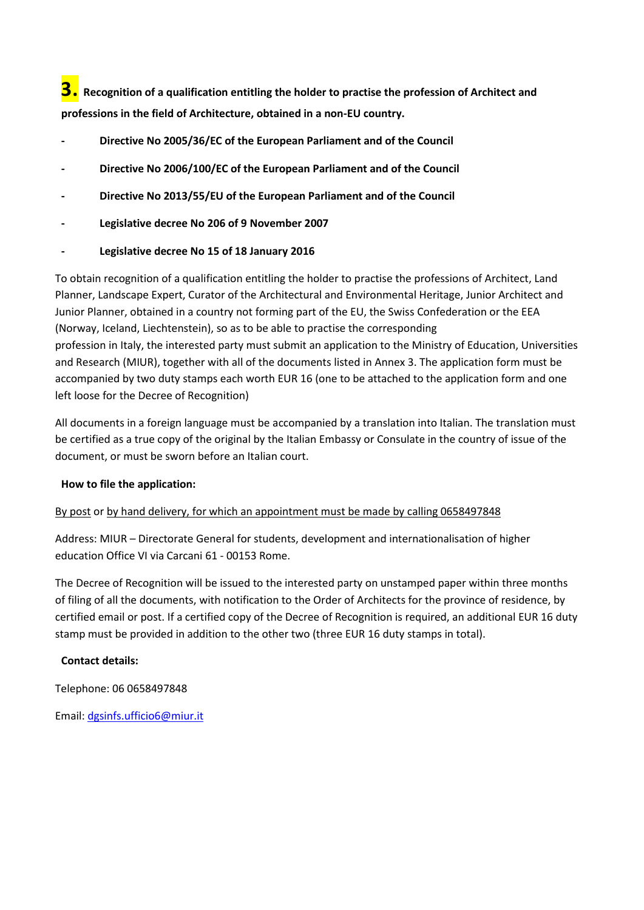**3. Recognition of a qualification entitling the holder to practise the profession of Architect and professions in the field of Architecture, obtained in a non-EU country.**

- **- Directive No 2005/36/EC of the European Parliament and of the Council**
- **- Directive No 2006/100/EC of the European Parliament and of the Council**
- **- Directive No 2013/55/EU of the European Parliament and of the Council**
- **- Legislative decree No 206 of 9 November 2007**
- **- Legislative decree No 15 of 18 January 2016**

To obtain recognition of a qualification entitling the holder to practise the professions of Architect, Land Planner, Landscape Expert, Curator of the Architectural and Environmental Heritage, Junior Architect and Junior Planner, obtained in a country not forming part of the EU, the Swiss Confederation or the EEA (Norway, Iceland, Liechtenstein), so as to be able to practise the corresponding profession in Italy, the interested party must submit an application to the Ministry of Education, Universities and Research (MIUR), together with all of the documents listed in Annex 3. The application form must be accompanied by two duty stamps each worth EUR 16 (one to be attached to the application form and one left loose for the Decree of Recognition)

All documents in a foreign language must be accompanied by a translation into Italian. The translation must be certified as a true copy of the original by the Italian Embassy or Consulate in the country of issue of the document, or must be sworn before an Italian court.

# **How to file the application:**

# By post or by hand delivery, for which an appointment must be made by calling 0658497848

Address: MIUR – Directorate General for students, development and internationalisation of higher education Office VI via Carcani 61 - 00153 Rome.

The Decree of Recognition will be issued to the interested party on unstamped paper within three months of filing of all the documents, with notification to the Order of Architects for the province of residence, by certified email or post. If a certified copy of the Decree of Recognition is required, an additional EUR 16 duty stamp must be provided in addition to the other two (three EUR 16 duty stamps in total).

# **Contact details:**

Telephone: 06 0658497848

Email: [dgsinfs.ufficio6@miur.it](mailto:dgsinfs.ufficio6@miur.it)